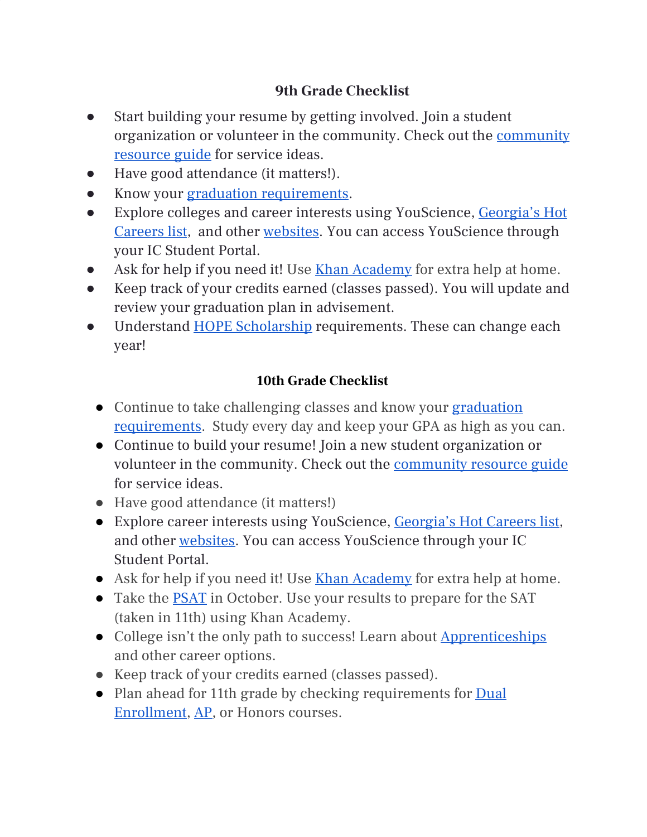## **9th Grade Checklist**

- Start building your resume by getting involved. Join a student organization or volunteer in the community. Check out the [community](https://gordonga.resource.directory/) [resource](https://gordonga.resource.directory/) guide for service ideas.
- Have good attendance (it matters!).
- Know your graduation [requirements](https://www.calhounschools.org/high/about-chs/guidance-counseling/graduation-requirements).
- Explore colleges and career interests using YouScience, [Georgia's](https://explorer.gdol.ga.gov/vosnet/mis/current/hot_careers_current.pdf) Hot [Careers](https://explorer.gdol.ga.gov/vosnet/mis/current/hot_careers_current.pdf) list, and other [websites](https://www.calhounschools.org/high/about-chs/guidance-counseling/college-and-career). You can access YouScience through your IC Student Portal.
- Ask for help if you need it! Use Khan [Academy](https://www.khanacademy.org/signup) for extra help at home.
- Keep track of your credits earned (classes passed). You will update and review your graduation plan in advisement.
- Understand HOPE [Scholarship](https://www.gafutures.org/hope-state-aid-programs/) requirements. These can change each year!

## **10th Grade Checklist**

- Continue to take challenging classes and know your [graduation](https://www.calhounschools.org/high/about-chs/guidance-counseling/graduation-requirements) [requirements](https://www.calhounschools.org/high/about-chs/guidance-counseling/graduation-requirements). Study every day and keep your GPA as high as you can.
- Continue to build your resume! Join a new student organization or volunteer in the community. Check out the [community](https://gordonga.resource.directory/) resource guide for service ideas.
- Have good attendance (it matters!)
- Explore career interests using YouScience, [Georgia's](https://explorer.gdol.ga.gov/vosnet/mis/current/hot_careers_current.pdf) Hot Careers list, and other [websites.](https://www.calhounschools.org/high/about-chs/guidance-counseling/college-and-career) You can access YouScience through your IC Student Portal.
- Ask for help if you need it! Use Khan [Academy](https://www.khanacademy.org/signup) for extra help at home.
- Take the [PSAT](https://www.calhounschools.org/high/about-chs/guidance-counseling/psat) in October. Use your results to prepare for the SAT (taken in 11th) using Khan Academy.
- College isn't the only path to success! Learn about [Apprenticeships](https://www.apprenticeship.gov/) and other career options.
- Keep track of your credits earned (classes passed).
- Plan ahead for 11th grade by checking requirements for **[Dual](https://www.calhounschools.org/high/academics/dual-enrollment)** [Enrollment,](https://www.calhounschools.org/high/academics/dual-enrollment) [AP,](https://www.calhounschools.org/high/academics/advanced-placement-ap) or Honors courses.